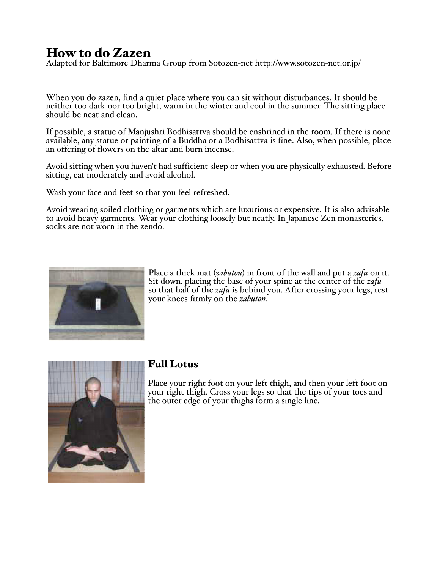# How to do Zazen

Adapted for Baltimore Dharma Group from Sotozen-net http://www.sotozen-net.or.jp/

When you do zazen, find a quiet place where you can sit without disturbances. It should be neither too dark nor too bright, warm in the winter and cool in the summer. The sitting place should be neat and clean.

If possible, a statue of Manjushri Bodhisattva should be enshrined in the room. If there is none available, any statue or painting of a Buddha or a Bodhisattva is fine. Also, when possible, place an offering of flowers on the altar and burn incense.

Avoid sitting when you haven't had sufficient sleep or when you are physically exhausted. Before sitting, eat moderately and avoid alcohol.

Wash your face and feet so that you feel refreshed.

Avoid wearing soiled clothing or garments which are luxurious or expensive. It is also advisable to avoid heavy garments. Wear your clothing loosely but neatly. In Japanese Zen monasteries, socks are not worn in the zendo.



Place a thick mat (*zabuton*) in front of the wall and put a *zafu* on it. Sit down, placing the base of your spine at the center of the *zafu* so that half of the *zafu* is behind you. After crossing your legs, rest your knees firmly on the *zabuton*.



## Full Lotus

Place your right foot on your left thigh, and then your left foot on your right thigh. Cross your legs so that the tips of your toes and the outer edge of your thighs form a single line.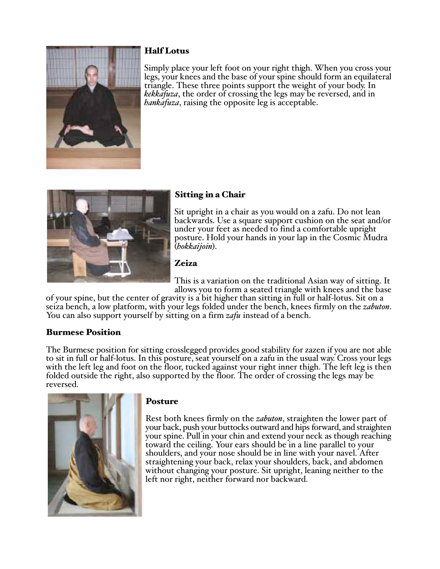

#### Half Lotus

Simply place your left foot on your right thigh. When you cross your legs, your knees and the base of your spine should form an equilateral triangle. These three points support the weight of your body. In *kekkafuza*, the order of crossing the legs may be reversed, and in *hankafuza*, raising the opposite leg is acceptable.



## Sitting in a Chair

Sit upright in a chair as you would on a zafu. Do not lean backwards. Use a square support cushion on the seat and/or under your feet as needed to find a comfortable upright posture. Hold your hands in your lap in the Cosmic Mudra (hokkaijoin).

## Zeiza

This is a variation on the traditional Asian way of sitting. It allows you to form a seated triangle with knees and the base

of your spine, but the center of gravity is a bit higher than sitting in full or half-lotus. Sit on a seiza bench, a low platform, with your legs folded under the bench, knees firmly on the *zabuton*. You can also support yourself by sitting on a firm *zafu* instead of a bench.

## Burmese Position

The Burmese position for sitting crosslegged provides good stability for zazen if you are not able to sit in full or half-lotus. In this posture, seat yourself on a zafu in the usual way. Cross your legs with the left leg and foot on the floor, tucked against your right inner thigh. The left leg is then folded outside the right, also supported by the floor. The order of crossing the legs may be reversed.



#### **Posture**

Rest both knees firmly on the *zabuton*, straighten the lower part of your back, push your buttocks outward and hips forward, and straighten your spine. Pull in your chin and extend your neck as though reaching toward the ceiling. Your ears should be in a line parallel to your shoulders, and your nose should be in line with your navel. After straightening your back, relax your shoulders, back, and abdomen without changing your posture. Sit upright, leaning neither to the left nor right, neither forward nor backward.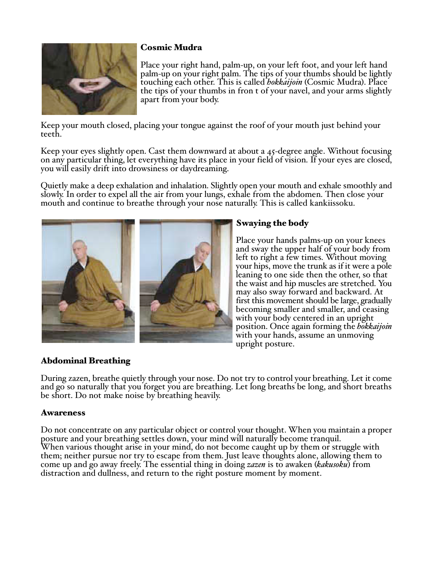

## Cosmic Mudra

Place your right hand, palm-up, on your left foot, and your left hand palm-up on your right palm. The tips of your thumbs should be lightly touching each other. This is called *bokkaijoin* (Cosmic Mudra). Place the tips of your thumbs in fron t of your navel, and your arms slightly apart from your body.

Keep your mouth closed, placing your tongue against the roof of your mouth just behind your teeth.

Keep your eyes slightly open. Cast them downward at about a 45-degree angle. Without focusing on any particular thing, let everything have its place in your field of vision. If your eyes are closed, you will easily drift into drowsiness or daydreaming.

Quietly make a deep exhalation and inhalation. Slightly open your mouth and exhale smoothly and slowly. In order to expel all the air from your lungs, exhale from the abdomen. Then close your mouth and continue to breathe through your nose naturally. This is called kankiissoku.



## Swaying the body

Place your hands palms-up on your knees and sway the upper half of your body from left to right a few times. Without moving your hips, move the trunk as if it were a pole leaning to one side then the other, so that the waist and hip muscles are stretched. You may also sway forward and backward. At first this movement should be large, gradually becoming smaller and smaller, and ceasing with your body centered in an upright position. Once again forming the *hokkaijoin* with your hands, assume an unmoving upright posture.

#### Abdominal Breathing

During zazen, breathe quietly through your nose. Do not try to control your breathing. Let it come and go so naturally that you forget you are breathing. Let long breaths be long, and short breaths be short. Do not make noise by breathing heavily.

#### Awareness

Do not concentrate on any particular object or control your thought. When you maintain a proper posture and your breathing settles down, your mind will naturally become tranquil. When various thought arise in your mind, do not become caught up by them or struggle with them; neither pursue nor try to escape from them. Just leave thoughts alone, allowing them to come up and go away freely. The essential thing in doing *zazen* is to awaken (*kakusoku*) from distraction and dullness, and return to the right posture moment by moment.